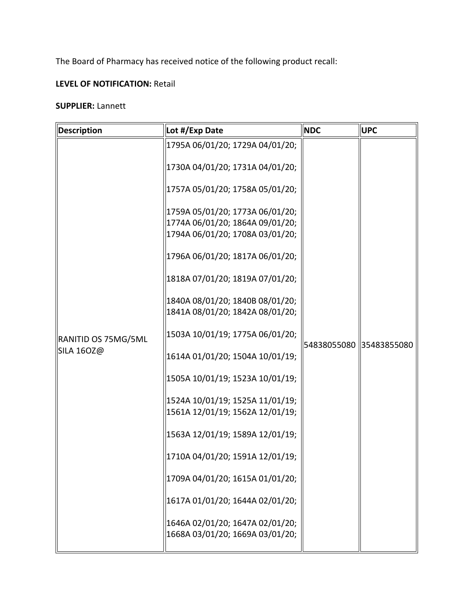The Board of Pharmacy has received notice of the following product recall:

## **LEVEL OF NOTIFICATION:** Retail

## **SUPPLIER:** Lannett

| Description                              | Lot #/Exp Date                                                     | <b>NDC</b>              | <b>UPC</b> |
|------------------------------------------|--------------------------------------------------------------------|-------------------------|------------|
|                                          | 1795A 06/01/20; 1729A 04/01/20;                                    | 54838055080 35483855080 |            |
| RANITID OS 75MG/5ML<br><b>SILA 160Z@</b> | 1730A 04/01/20; 1731A 04/01/20;                                    |                         |            |
|                                          | 1757A 05/01/20; 1758A 05/01/20;                                    |                         |            |
|                                          | 1759A 05/01/20; 1773A 06/01/20;                                    |                         |            |
|                                          | 1774A 06/01/20; 1864A 09/01/20;<br>1794A 06/01/20; 1708A 03/01/20; |                         |            |
|                                          | 1796A 06/01/20; 1817A 06/01/20;                                    |                         |            |
|                                          | 1818A 07/01/20; 1819A 07/01/20;                                    |                         |            |
|                                          | 1840A 08/01/20; 1840B 08/01/20;<br>1841A 08/01/20; 1842A 08/01/20; |                         |            |
|                                          |                                                                    |                         |            |
|                                          | 1503A 10/01/19; 1775A 06/01/20;                                    |                         |            |
|                                          | 1614A 01/01/20; 1504A 10/01/19;                                    |                         |            |
|                                          | 1505A 10/01/19; 1523A 10/01/19;                                    |                         |            |
|                                          | 1524A 10/01/19; 1525A 11/01/19;                                    |                         |            |
|                                          | 1561A 12/01/19; 1562A 12/01/19;                                    |                         |            |
|                                          | 1563A 12/01/19; 1589A 12/01/19;                                    |                         |            |
|                                          | 1710A 04/01/20; 1591A 12/01/19;                                    |                         |            |
|                                          | 1709A 04/01/20; 1615A 01/01/20;                                    |                         |            |
|                                          | 1617A 01/01/20; 1644A 02/01/20;                                    |                         |            |
|                                          | 1646A 02/01/20; 1647A 02/01/20;                                    |                         |            |
|                                          | 1668A 03/01/20; 1669A 03/01/20;                                    |                         |            |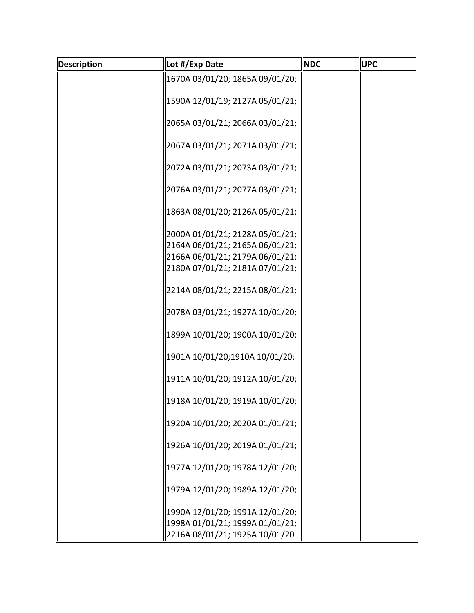| Description | Lot #/Exp Date                  | <b>NDC</b> | <b>UPC</b> |
|-------------|---------------------------------|------------|------------|
|             | 1670A 03/01/20; 1865A 09/01/20; |            |            |
|             | 1590A 12/01/19; 2127A 05/01/21; |            |            |
|             |                                 |            |            |
|             | 2065A 03/01/21; 2066A 03/01/21; |            |            |
|             | 2067A 03/01/21; 2071A 03/01/21; |            |            |
|             |                                 |            |            |
|             | 2072A 03/01/21; 2073A 03/01/21; |            |            |
|             | 2076A 03/01/21; 2077A 03/01/21; |            |            |
|             |                                 |            |            |
|             | 1863A 08/01/20; 2126A 05/01/21; |            |            |
|             | 2000A 01/01/21; 2128A 05/01/21; |            |            |
|             | 2164A 06/01/21; 2165A 06/01/21; |            |            |
|             | 2166A 06/01/21; 2179A 06/01/21; |            |            |
|             | 2180A 07/01/21; 2181A 07/01/21; |            |            |
|             |                                 |            |            |
|             | 2214A 08/01/21; 2215A 08/01/21; |            |            |
|             | 2078A 03/01/21; 1927A 10/01/20; |            |            |
|             |                                 |            |            |
|             | 1899A 10/01/20; 1900A 10/01/20; |            |            |
|             | 1901A 10/01/20;1910A 10/01/20;  |            |            |
|             | 1911A 10/01/20; 1912A 10/01/20; |            |            |
|             |                                 |            |            |
|             | 1918A 10/01/20; 1919A 10/01/20; |            |            |
|             | 1920A 10/01/20; 2020A 01/01/21; |            |            |
|             |                                 |            |            |
|             | 1926A 10/01/20; 2019A 01/01/21; |            |            |
|             | 1977A 12/01/20; 1978A 12/01/20; |            |            |
|             |                                 |            |            |
|             | 1979A 12/01/20; 1989A 12/01/20; |            |            |
|             |                                 |            |            |
|             | 1990A 12/01/20; 1991A 12/01/20; |            |            |
|             | 1998A 01/01/21; 1999A 01/01/21; |            |            |
|             | 2216A 08/01/21; 1925A 10/01/20  |            |            |